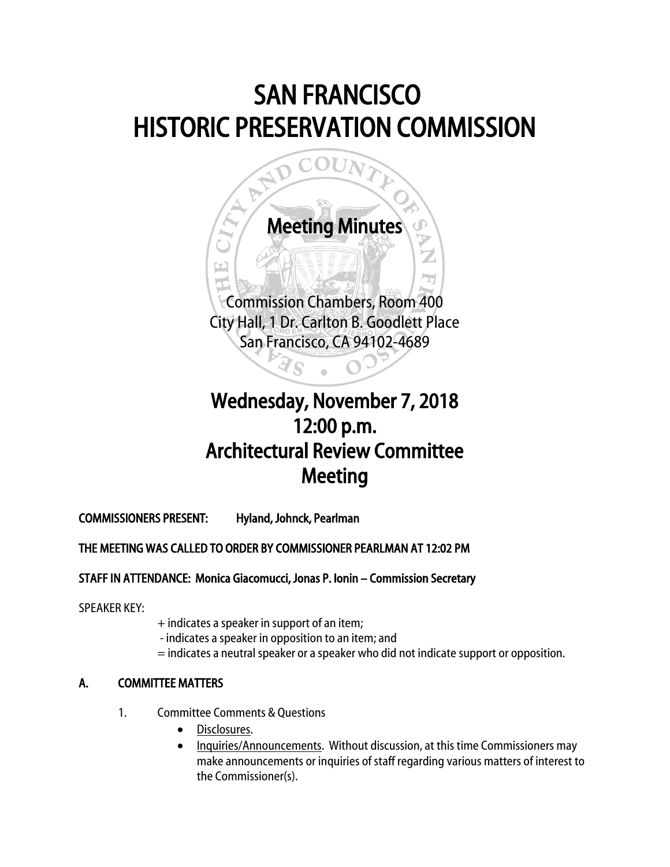# SAN FRANCISCO HISTORIC PRESERVATION COMMISSION



## Wednesday, November 7, 2018 12:00 p.m. Architectural Review Committee Meeting

COMMISSIONERS PRESENT: Hyland, Johnck, Pearlman

### THE MEETING WAS CALLED TO ORDER BY COMMISSIONER PEARLMAN AT 12:02 PM

#### STAFF IN ATTENDANCE: Monica Giacomucci, Jonas P. Ionin – Commission Secretary

SPEAKER KEY:

- + indicates a speaker in support of an item;
- indicates a speaker in opposition to an item; and
- = indicates a neutral speaker or a speaker who did not indicate support or opposition.

### A. COMMITTEE MATTERS

- 1. Committee Comments & Questions
	- Disclosures.
	- Inquiries/Announcements. Without discussion, at this time Commissioners may make announcements or inquiries of staff regarding various matters of interest to the Commissioner(s).